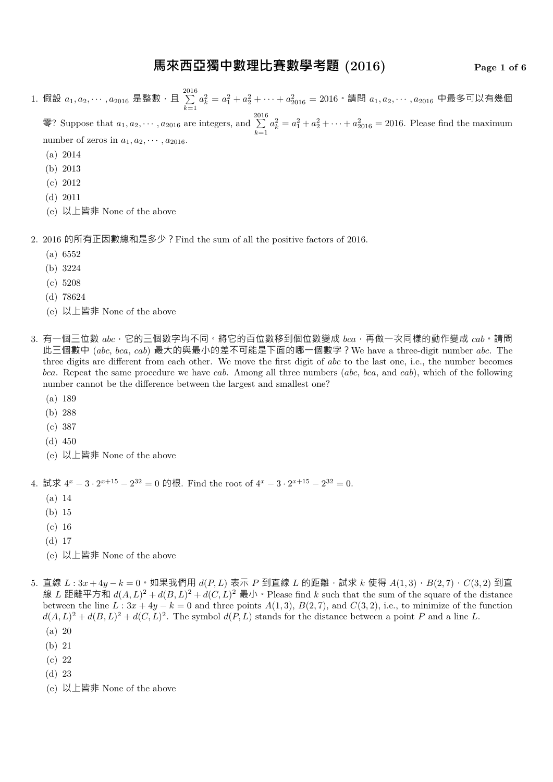### **馬來西亞獨中數理比賽數學考題 (2016) Page 1 of 6**

1. 假設  $a_1, a_2, \cdots, a_{2016}$  是整數,且  $\sum\limits_{i=1}^{2016}$ *k*=1  $a_k^2 = a_1^2 + a_2^2 + \cdots + a_{2016}^2 = 2016$  • 請問  $a_1, a_2, \cdots, a_{2016}$  中最多可以有幾個 零? Suppose that  $a_1, a_2, \cdots, a_{2016}$  are integers, and  $\sum_{n=1}^{2016}$ *k*=1  $a_k^2 = a_1^2 + a_2^2 + \cdots + a_{2016}^2 = 2016$ . Please find the maximum number of zeros in  $a_1, a_2, \cdots, a_{2016}$ .

- (a) 2014
- (b) 2013
- (c) 2012
- (d) 2011
- (e) 以上皆非 None of the above

2. 2016 的所有正因數總和是多少?Find the sum of all the positive factors of 2016.

- (a) 6552
- (b) 3224
- (c) 5208
- (d) 78624
- (e) 以上皆非 None of the above
- 3. 有一個三位數 *abc*,它的三個數字均不同。將它的百位數移到個位數變成 *bca*,再做一次同樣的動作變成 *cab*。請問 此三個數中 (*abc*, *bca*, *cab*) 最大的與最小的差不可能是下面的哪一個數字?We have a three-digit number *abc*. The three digits are different from each other. We move the first digit of *abc* to the last one, i.e., the number becomes *bca*. Repeat the same procedure we have *cab*. Among all three numbers (*abc*, *bca*, and *cab*), which of the following number cannot be the difference between the largest and smallest one?
	- (a) 189
	- (b) 288
	- (c) 387
	- (d) 450
	- (e) 以上皆非 None of the above

4. 試求  $4^x - 3 \cdot 2^{x+15} - 2^{32} = 0$  的根. Find the root of  $4^x - 3 \cdot 2^{x+15} - 2^{32} = 0$ .

- (a) 14
- (b) 15
- (c) 16
- (d) 17
- (e) 以上皆非 None of the above
- 5. 直線 *<sup>L</sup>* : 3*<sup>x</sup>* + 4*<sup>y</sup> <sup>−</sup> <sup>k</sup>* = 0。如果我們用 *<sup>d</sup>*(*P, L*) 表示 *<sup>P</sup>* 到直線 *<sup>L</sup>* 的距離,試求 *<sup>k</sup>* 使得 *<sup>A</sup>*(1*,* 3),*B*(2*,* 7),*C*(3*,* 2) 到直 線 L 距離平方和  $d(A, L)^2 + d(B, L)^2 + d(C, L)^2$  最小 · Please find k such that the sum of the square of the distance between the line  $L: 3x + 4y - k = 0$  and three points  $A(1,3), B(2,7),$  and  $C(3,2),$  i.e., to minimize of the function  $d(A, L)^2 + d(B, L)^2 + d(C, L)^2$ . The symbol  $d(P, L)$  stands for the distance between a point *P* and a line *L*.
	- (a) 20
	- (b) 21
	- (c) 22
	- (d) 23
	- (e) 以上皆非 None of the above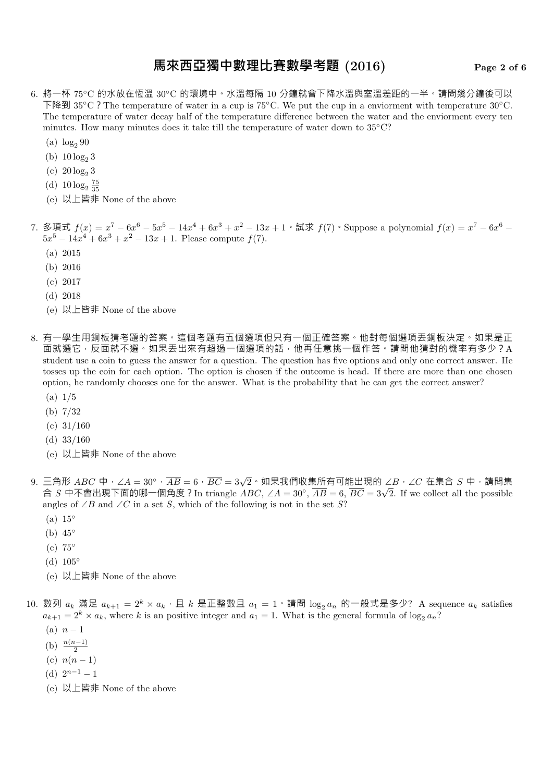### **馬來西亞獨中數理比賽數學考題 (2016) Page 2 of 6**

- 6. 將一杯 75*◦*C 的水放在恆溫 30*◦*C 的環境中。水溫每隔 10 分鐘就會下降水溫與室溫差距的一半。請問幾分鐘後可以 下降到 35*◦*C?The temperature of water in a cup is 75*◦*C. We put the cup in a enviorment with temperature 30*◦*C. The temperature of water decay half of the temperature difference between the water and the enviorment every ten minutes. How many minutes does it take till the temperature of water down to 35*◦*C?
	- (a)  $\log_2 90$
	- (b)  $10 \log_2 3$
	- (c)  $20 \log_2 3$
	- (d)  $10 \log_2 \frac{75}{35}$
	- (e) 以上皆非 None of the above

7. 多項式  $f(x) = x^7 - 6x^6 - 5x^5 - 14x^4 + 6x^3 + x^2 - 13x + 1 \cdot \exists x$   $f(7)$  · Suppose a polynomial  $f(x) = x^7 - 6x^6 - 14x^4 + 6x^3 + x^2 - 13x + 1 \cdot \exists x$  $5x^5 - 14x^4 + 6x^3 + x^2 - 13x + 1$ . Please compute  $f(7)$ .

- (a) 2015
- (b) 2016
- (c) 2017
- (d) 2018
- (e) 以上皆非 None of the above
- 8. 有一學生用銅板猜考題的答案。這個考題有五個選項但只有一個正確答案。他對每個選項丟銅板決定。如果是正 面就選它,反面就不選。如果丟出來有超過一個選項的話,他再任意挑一個作答。請問他猜對的機率有多少?A student use a coin to guess the answer for a question. The question has five options and only one correct answer. He tosses up the coin for each option. The option is chosen if the outcome is head. If there are more than one chosen option, he randomly chooses one for the answer. What is the probability that he can get the correct answer?
	- (a) 1/5
	- (b) 7/32
	- $(c)$  31/160
	- (d)  $33/160$
	- (e) 以上皆非 None of the above
- 9. 三角形 *ABC* 中,∠*<sup>A</sup>* = 30*◦*,*AB* = 6,*BC* = 3*<sup>√</sup>* 2。如果我們收集所有可能出現的 ∠*B*,∠*C* 在集合 *S* 中,請問集 合 *S* 中不會出現下面的哪一個角度?In triangle *ABC*, ∠*A* = 30*◦* , *AB* = 6, *BC* = 3*<sup>√</sup>* 2. If we collect all the possible angles of ∠*B* and ∠*C* in a set *S*, which of the following is not in the set *S*?
	- (a) 15*◦*
	- (b) 45*◦*
	- (c) 75*◦*
	- (d) 105*◦*
	- (e) 以上皆非 None of the above
- 10. 數列  $a_k$  滿足  $a_{k+1} = 2^k \times a_k \cdot \text{ } \Box k$  是正整數且  $a_1 = 1 \cdot \text{ }$ 請問  $\log_2 a_n$  的一般式是多少? A sequence  $a_k$  satisfies  $a_{k+1} = 2^k \times a_k$ , where *k* is an positive integer and  $a_1 = 1$ . What is the general formula of  $\log_2 a_n$ ?
	- $(n)$  *n* − 1
	- (b)  $\frac{n(n-1)}{2}$
	- (c)  $n(n-1)$
	- (d)  $2^{n-1} 1$
	- (e) 以上皆非 None of the above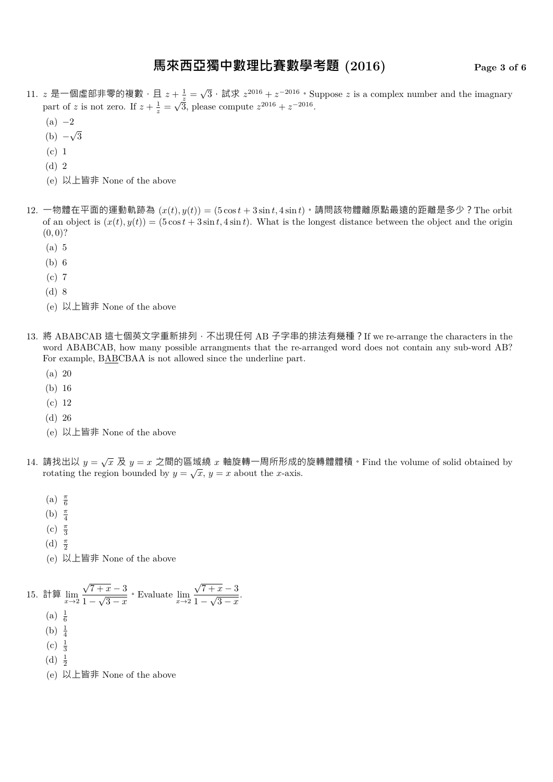# **馬來西亞獨中數理比賽數學考題 (2016) Page 3 of 6**

- 11. z 是一個虛部非零的複數,且  $z + \frac{1}{z} = \sqrt{3} \cdot i \frac{1}{z} \cdot z^{2016} + z^{-2016} \cdot \text{Suppose } z$  is a complex number and the imagnary part of *z* is not zero. If  $z + \frac{1}{z} = \sqrt{\frac{z}{3}}$ , please compute  $z^{2016} + z^{-2016}$ .
	- (a) *−*2
	- (b) *− √* 3
	- (c) 1
	- (d) 2
	- (e) 以上皆非 None of the above
- 12. 一物體在平面的運動軌跡為 $(x(t), y(t)) = (5 \cos t + 3 \sin t, 4 \sin t)$ 。請問該物體離原點最遠的距離是多少?The orbit of an object is  $(x(t), y(t)) = (5 \cos t + 3 \sin t, 4 \sin t)$ . What is the longest distance between the object and the origin  $(0,0)$ ?
	- (a) 5
	- (b) 6
	- (c) 7
	- (d) 8
	- (e) 以上皆非 None of the above
- 13. 將 ABABCAB 這七個英文字重新排列,不出現任何 AB 子字串的排法有幾種? If we re-arrange the characters in the word ABABCAB, how many possible arrangments that the re-arranged word does not contain any sub-word AB? For example, BABCBAA is not allowed since the underline part.
	- (a) 20
	- (b) 16
	- (c) 12
	- (d) 26
	- (e) 以上皆非 None of the above
- 14. 請找出以  $y = \sqrt{x}$  及  $y = x$  之間的區域繞  $x$  軸旋轉一周所形成的旋轉體體積  $\cdot$  Find the volume of solid obtained by rotating the region bounded by  $y = \sqrt{x}$ ,  $y = x$  about the *x*-axis.
	- (a) *<sup>π</sup>* 6
	- (b) *<sup>π</sup>* 4
	- (c) *<sup>π</sup>* 3
	- (d) *<sup>π</sup>* 2
	- (e) 以上皆非 None of the above

\n- 15. 訦算 
$$
\lim_{x \to 2} \frac{\sqrt{7+x}-3}{1-\sqrt{3-x}}
$$
 *• Evaluate*  $\lim_{x \to 2} \frac{\sqrt{7+x}-3}{1-\sqrt{3-x}}$ .
\n- (a)  $\frac{1}{6}$
\n- (b)  $\frac{1}{4}$
\n- (c)  $\frac{1}{3}$
\n- (d)  $\frac{1}{2}$
\n- (e) 以上ņ非 None of the above
\n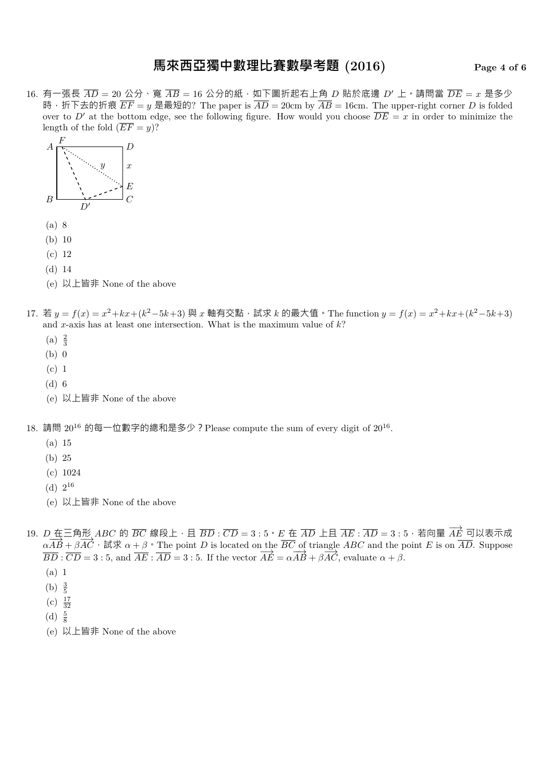# **馬來西亞獨中數理比賽數學考題 (2016) Page 4 of 6**

16. 有一張長  $\overline{AD} = 20$  公分、寬  $\overline{AB} = 16$  公分的紙, 如下圖折起右上角 D 貼於底邊 D' 上。請問當  $\overline{DE} = x$  是多少 時, 折下去的折痕  $\overline{EF} = y$  是最短的? The paper is  $\overline{AD} = 20$ cm by  $\overline{AB} = 16$ cm. The upper-right corner *D* is folded over to *D'* at the bottom edge, see the following figure. How would you choose  $\overline{DE} = x$  in order to minimize the length of the fold  $(\overline{EF} = y)$ ?



- (b) 10
- (c) 12
- (d) 14
- (e) 以上皆非 None of the above
- 17. 若  $y = f(x) = x^2 + kx + (k^2 5k + 3)$  與  $x$  軸有交點, 試求  $k$  的最大值 · The function  $y = f(x) = x^2 + kx + (k^2 5k + 3)$ and *x*-axis has at least one intersection. What is the maximum value of *k*?
	- (a)  $\frac{2}{3}$
	- (b) 0
	- (c) 1
	- (d) 6
	- (e) 以上皆非 None of the above

18. 請問  $20^{16}$  的每一位數字的總和是多少?Please compute the sum of every digit of  $20^{16}$ .

- (a) 15
- (b) 25
- (c) 1024
- $(d) 2^{16}$
- (e) 以上皆非 None of the above
- 19. *D* 在三角形 *ABC* 的 *BC* 線段上, 且 *BD* :  $\overline{CD}$  = 3 : 5 · *E* 在  $\overline{AD}$  上且  $\overline{AE}$  :  $\overline{AD}$  = 3 : 5, 若向量  $\overrightarrow{AE}$  可以表示成  $\alpha \overrightarrow{AB} + \beta \overrightarrow{AC}$ , 試求  $\alpha + \beta$ , The point *D* is located on the  $\overline{BC}$  of triangle *ABC* and the point *E* is on  $\overline{AD}$ . Suppose  $\overrightarrow{BD} : \overrightarrow{CD} = 3 : 5$ , and  $\overrightarrow{AE} : \overrightarrow{AD} = 3 : 5$ . If the vector  $\overrightarrow{AE} = \alpha \overrightarrow{AB} + \beta \overrightarrow{AC}$ , evaluate  $\alpha + \beta$ .
	- (a) 1
	- (b)  $\frac{3}{5}$
	- $(c) \frac{17}{32}$
	- $(d) \frac{5}{8}$
	- (e) 以上皆非 None of the above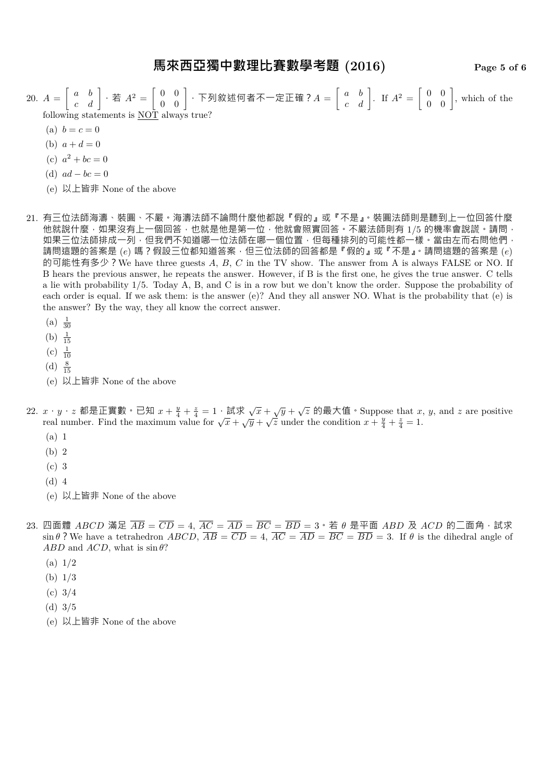20.  $A =$  $\begin{bmatrix} a & b \\ c & d \end{bmatrix}$ , 若  $A^2 = \begin{bmatrix} 0 & 0 \\ 0 & 0 \end{bmatrix}$ , 下列敘述何者不一定正確?  $A = \begin{bmatrix} a & b \\ c & d \end{bmatrix}$ . If  $A^2 = \begin{bmatrix} 0 & 0 \\ 0 & 0 \end{bmatrix}$ , which of the following statements is NOT always true?

- (a)  $b = c = 0$
- (b)  $a + d = 0$
- (c)  $a^2 + bc = 0$
- (d)  $ad bc = 0$
- (e) 以上皆非 None of the above
- 21. 有三位法師海濤、裝圓、不嚴。海濤法師不論問什麼他都說『假的』或『不是』。裝圓法師則是聽到上一位回答什麼 他就說什麼,如果沒有上一個回答,也就是他是第一位,他就會照實回答。不嚴法師則有 1/5 的機率會說謊。請問, 如果三位法師排成一列,但我們不知道哪一位法師在哪一個位置,但每種排列的可能性都一樣。當由左而右問他們, 請問這題的答案是 (*e*) 嗎?假設三位都知道答案,但三位法師的回答都是『假的』或『不是』。請問這題的答案是 (*e*) 的可能性有多少?We have three guests *A*, *B*, *C* in the TV show. The answer from A is always FALSE or NO. If B hears the previous answer, he repeats the answer. However, if B is the first one, he gives the true answer. C tells a lie with probability 1/5. Today A, B, and C is in a row but we don't know the order. Suppose the probability of each order is equal. If we ask them: is the answer (e)? And they all answer NO. What is the probability that (e) is the answer? By the way, they all know the correct answer.
	- (a)  $\frac{1}{30}$
	- (b)  $\frac{1}{15}$
	- $(c) \frac{1}{10}$
	-
	- (d)  $\frac{8}{15}$
	- (e) 以上皆非 None of the above

#### 22.  $x \cdot y \cdot z$  都是正實數。已知  $x + \frac{y}{4} + \frac{z}{4} = 1 \cdot \frac{1}{2} \cdot \frac{1}{2} \cdot \frac{1}{2} \cdot \frac{1}{2} \cdot \frac{1}{2} \cdot \frac{1}{2} \cdot \frac{1}{2} \cdot \frac{1}{2} \cdot \frac{1}{2} \cdot \frac{1}{2} \cdot \frac{1}{2} \cdot \frac{1}{2} \cdot \frac{1}{2} \cdot \frac{1}{2} \cdot \frac{1}{2} \cdot \frac{1}{2} \cdot \frac{1}{2} \cdot \frac{1}{2} \cdot \frac{1}{2} \cdot \frac{$ real number. Find the maximum value for  $\sqrt{x} + \sqrt{y} + \sqrt{z}$  under the condition  $x + \frac{y}{4} + \frac{z}{4} = 1$ .

- (a) 1
- (b) 2
- (c) 3
- (d) 4
- (e) 以上皆非 None of the above
- $23.$  四面體  $ABCD$  滿足  $\overline{AB} = \overline{CD} = 4$ ,  $\overline{AC} = \overline{AD} = \overline{BC} = \overline{BD} = 3 \cdot \overline{A}$   $\theta$  是平面  $ABD \boxtimes ACD$  的二面角, 試求 sin  $\theta$ ? We have a tetrahedron *ABCD*,  $\overline{AB} = \overline{CD} = 4$ ,  $\overline{AC} = \overline{AD} = \overline{BC} = \overline{BD} = 3$ . If  $\theta$  is the dihedral angle of *ABD* and *ACD*, what is  $\sin \theta$ ?
	- (a) 1/2
	- (b) 1/3
	- (c) 3/4
	- (d) 3/5
	- (e) 以上皆非 None of the above